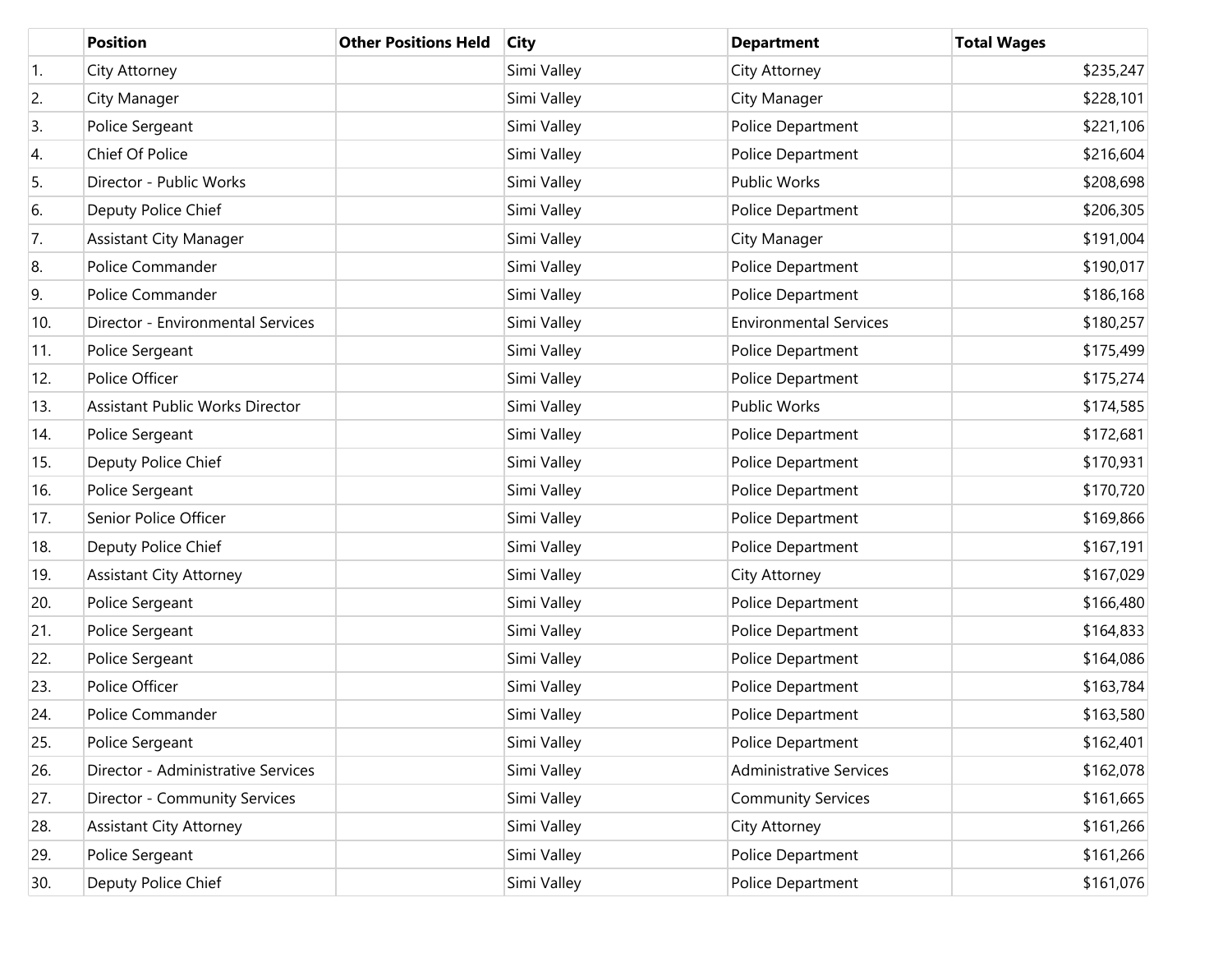|     | <b>Position</b>                        | <b>Other Positions Held</b> | <b>City</b> | <b>Department</b>              | <b>Total Wages</b> |
|-----|----------------------------------------|-----------------------------|-------------|--------------------------------|--------------------|
| 1.  | City Attorney                          |                             | Simi Valley | City Attorney                  | \$235,247          |
| 2.  | City Manager                           |                             | Simi Valley | City Manager                   | \$228,101          |
| 3.  | Police Sergeant                        |                             | Simi Valley | Police Department              | \$221,106          |
| 4.  | Chief Of Police                        |                             | Simi Valley | Police Department              | \$216,604          |
| 5.  | Director - Public Works                |                             | Simi Valley | Public Works                   | \$208,698          |
| 6.  | Deputy Police Chief                    |                             | Simi Valley | Police Department              | \$206,305          |
| 7.  | <b>Assistant City Manager</b>          |                             | Simi Valley | City Manager                   | \$191,004          |
| 8.  | Police Commander                       |                             | Simi Valley | Police Department              | \$190,017          |
| 9.  | Police Commander                       |                             | Simi Valley | Police Department              | \$186,168          |
| 10. | Director - Environmental Services      |                             | Simi Valley | <b>Environmental Services</b>  | \$180,257          |
| 11. | Police Sergeant                        |                             | Simi Valley | Police Department              | \$175,499          |
| 12. | Police Officer                         |                             | Simi Valley | Police Department              | \$175,274          |
| 13. | <b>Assistant Public Works Director</b> |                             | Simi Valley | Public Works                   | \$174,585          |
| 14. | Police Sergeant                        |                             | Simi Valley | Police Department              | \$172,681          |
| 15. | Deputy Police Chief                    |                             | Simi Valley | Police Department              | \$170,931          |
| 16. | Police Sergeant                        |                             | Simi Valley | Police Department              | \$170,720          |
| 17. | Senior Police Officer                  |                             | Simi Valley | Police Department              | \$169,866          |
| 18. | Deputy Police Chief                    |                             | Simi Valley | Police Department              | \$167,191          |
| 19. | <b>Assistant City Attorney</b>         |                             | Simi Valley | City Attorney                  | \$167,029          |
| 20. | Police Sergeant                        |                             | Simi Valley | Police Department              | \$166,480          |
| 21. | Police Sergeant                        |                             | Simi Valley | Police Department              | \$164,833          |
| 22. | Police Sergeant                        |                             | Simi Valley | Police Department              | \$164,086          |
| 23. | Police Officer                         |                             | Simi Valley | Police Department              | \$163,784          |
| 24. | Police Commander                       |                             | Simi Valley | Police Department              | \$163,580          |
| 25. | Police Sergeant                        |                             | Simi Valley | Police Department              | \$162,401          |
| 26. | Director - Administrative Services     |                             | Simi Valley | <b>Administrative Services</b> | \$162,078          |
| 27. | Director - Community Services          |                             | Simi Valley | <b>Community Services</b>      | \$161,665          |
| 28. | <b>Assistant City Attorney</b>         |                             | Simi Valley | City Attorney                  | \$161,266          |
| 29. | Police Sergeant                        |                             | Simi Valley | Police Department              | \$161,266          |
| 30. | Deputy Police Chief                    |                             | Simi Valley | Police Department              | \$161,076          |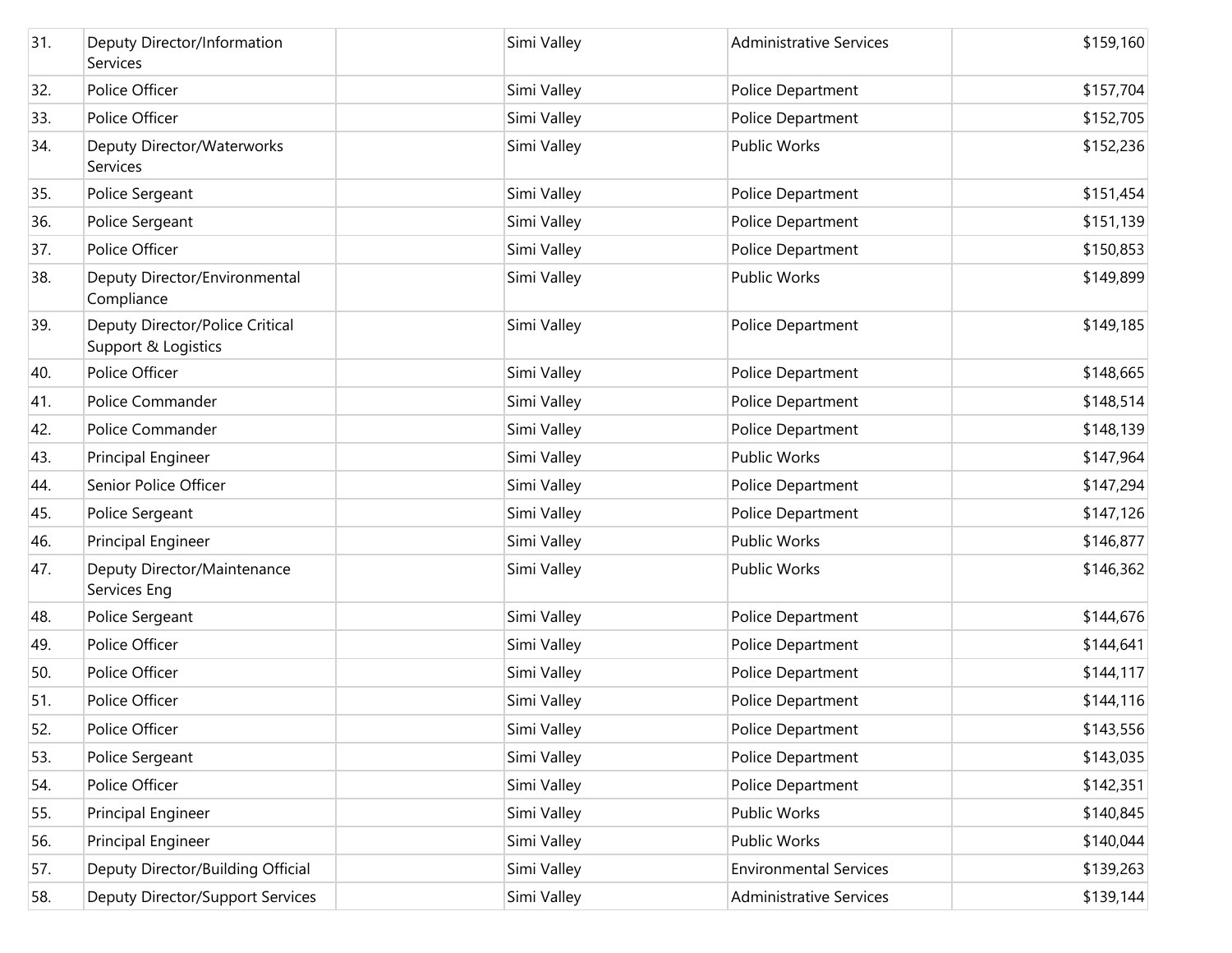| 31. | Deputy Director/Information<br>Services                | Simi Valley | <b>Administrative Services</b> | \$159,160 |
|-----|--------------------------------------------------------|-------------|--------------------------------|-----------|
| 32. | Police Officer                                         | Simi Valley | Police Department              | \$157,704 |
| 33. | Police Officer                                         | Simi Valley | Police Department              | \$152,705 |
| 34. | Deputy Director/Waterworks<br>Services                 | Simi Valley | Public Works                   | \$152,236 |
| 35. | Police Sergeant                                        | Simi Valley | Police Department              | \$151,454 |
| 36. | Police Sergeant                                        | Simi Valley | Police Department              | \$151,139 |
| 37. | Police Officer                                         | Simi Valley | Police Department              | \$150,853 |
| 38. | Deputy Director/Environmental<br>Compliance            | Simi Valley | Public Works                   | \$149,899 |
| 39. | Deputy Director/Police Critical<br>Support & Logistics | Simi Valley | Police Department              | \$149,185 |
| 40. | Police Officer                                         | Simi Valley | Police Department              | \$148,665 |
| 41. | Police Commander                                       | Simi Valley | Police Department              | \$148,514 |
| 42. | Police Commander                                       | Simi Valley | Police Department              | \$148,139 |
| 43. | Principal Engineer                                     | Simi Valley | <b>Public Works</b>            | \$147,964 |
| 44. | Senior Police Officer                                  | Simi Valley | Police Department              | \$147,294 |
| 45. | Police Sergeant                                        | Simi Valley | Police Department              | \$147,126 |
| 46. | Principal Engineer                                     | Simi Valley | Public Works                   | \$146,877 |
| 47. | Deputy Director/Maintenance<br>Services Eng            | Simi Valley | Public Works                   | \$146,362 |
| 48. | Police Sergeant                                        | Simi Valley | Police Department              | \$144,676 |
| 49. | Police Officer                                         | Simi Valley | Police Department              | \$144,641 |
| 50. | Police Officer                                         | Simi Valley | Police Department              | \$144,117 |
| 51. | Police Officer                                         | Simi Valley | Police Department              | \$144,116 |
| 52. | Police Officer                                         | Simi Valley | Police Department              | \$143,556 |
| 53. | Police Sergeant                                        | Simi Valley | Police Department              | \$143,035 |
| 54. | Police Officer                                         | Simi Valley | Police Department              | \$142,351 |
| 55. | Principal Engineer                                     | Simi Valley | Public Works                   | \$140,845 |
| 56. | Principal Engineer                                     | Simi Valley | Public Works                   | \$140,044 |
| 57. | Deputy Director/Building Official                      | Simi Valley | <b>Environmental Services</b>  | \$139,263 |
| 58. | Deputy Director/Support Services                       | Simi Valley | <b>Administrative Services</b> | \$139,144 |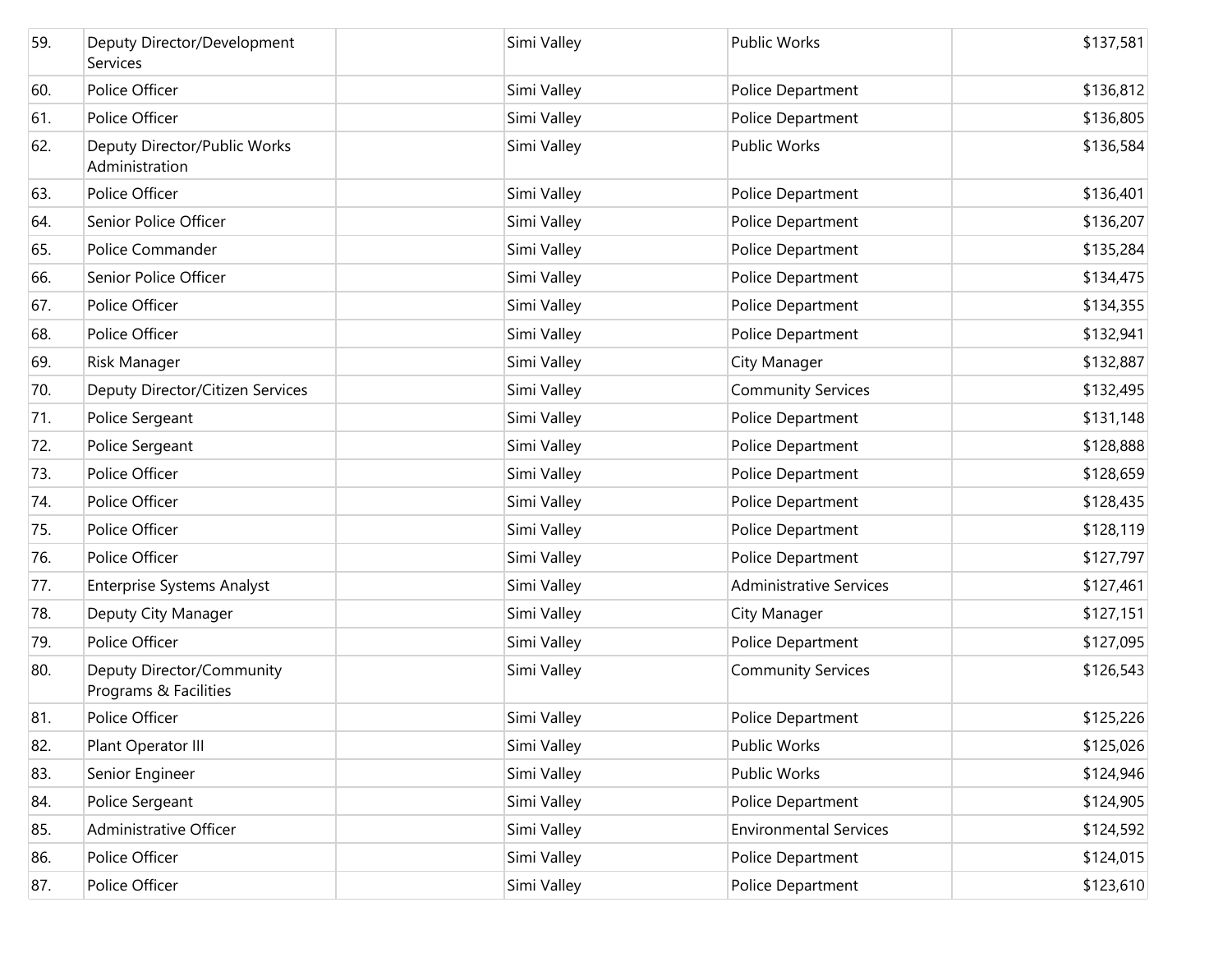| 59. | Deputy Director/Development<br>Services            | Simi Valley | <b>Public Works</b>            | \$137,581 |
|-----|----------------------------------------------------|-------------|--------------------------------|-----------|
| 60. | Police Officer                                     | Simi Valley | Police Department              | \$136,812 |
| 61. | Police Officer                                     | Simi Valley | Police Department              | \$136,805 |
| 62. | Deputy Director/Public Works<br>Administration     | Simi Valley | <b>Public Works</b>            | \$136,584 |
| 63. | Police Officer                                     | Simi Valley | Police Department              | \$136,401 |
| 64. | Senior Police Officer                              | Simi Valley | Police Department              | \$136,207 |
| 65. | Police Commander                                   | Simi Valley | Police Department              | \$135,284 |
| 66. | Senior Police Officer                              | Simi Valley | Police Department              | \$134,475 |
| 67. | Police Officer                                     | Simi Valley | Police Department              | \$134,355 |
| 68. | Police Officer                                     | Simi Valley | Police Department              | \$132,941 |
| 69. | Risk Manager                                       | Simi Valley | City Manager                   | \$132,887 |
| 70. | Deputy Director/Citizen Services                   | Simi Valley | <b>Community Services</b>      | \$132,495 |
| 71. | Police Sergeant                                    | Simi Valley | Police Department              | \$131,148 |
| 72. | Police Sergeant                                    | Simi Valley | Police Department              | \$128,888 |
| 73. | Police Officer                                     | Simi Valley | Police Department              | \$128,659 |
| 74. | Police Officer                                     | Simi Valley | Police Department              | \$128,435 |
| 75. | Police Officer                                     | Simi Valley | Police Department              | \$128,119 |
| 76. | Police Officer                                     | Simi Valley | Police Department              | \$127,797 |
| 77. | <b>Enterprise Systems Analyst</b>                  | Simi Valley | <b>Administrative Services</b> | \$127,461 |
| 78. | Deputy City Manager                                | Simi Valley | City Manager                   | \$127,151 |
| 79. | Police Officer                                     | Simi Valley | Police Department              | \$127,095 |
| 80. | Deputy Director/Community<br>Programs & Facilities | Simi Valley | <b>Community Services</b>      | \$126,543 |
| 81. | Police Officer                                     | Simi Valley | <b>Police Department</b>       | \$125,226 |
| 82. | Plant Operator III                                 | Simi Valley | Public Works                   | \$125,026 |
| 83. | Senior Engineer                                    | Simi Valley | Public Works                   | \$124,946 |
| 84. | Police Sergeant                                    | Simi Valley | Police Department              | \$124,905 |
| 85. | Administrative Officer                             | Simi Valley | <b>Environmental Services</b>  | \$124,592 |
| 86. | Police Officer                                     | Simi Valley | Police Department              | \$124,015 |
| 87. | Police Officer                                     | Simi Valley | Police Department              | \$123,610 |